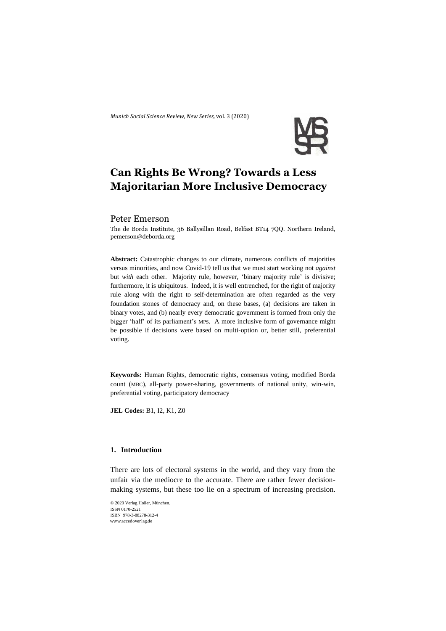*Munich Social Science Review*, *New Series,* vol. 3 (2020)



# **Can Rights Be Wrong? Towards a Less Majoritarian More Inclusive Democracy**

# Peter Emerson

The de Borda Institute, 36 Ballysillan Road, Belfast BT14 7QQ. Northern Ireland, [pemerson@deborda.org](mailto:pemerson@deborda.org)

**Abstract:** Catastrophic changes to our climate, numerous conflicts of majorities versus minorities, and now Covid-19 tell us that we must start working not *against* but *with* each other. Majority rule, however, 'binary majority rule' is divisive; furthermore, it is ubiquitous. Indeed, it is well entrenched, for the right of majority rule along with the right to self-determination are often regarded as the very foundation stones of democracy and, on these bases, (a) decisions are taken in binary votes, and (b) nearly every democratic government is formed from only the bigger 'half' of its parliament's MPs. A more inclusive form of governance might be possible if decisions were based on multi-option or, better still, preferential voting.

**Keywords:** Human Rights, democratic rights, consensus voting, modified Borda count (MBC), all-party power-sharing, governments of national unity, win-win, preferential voting, participatory democracy

**JEL Codes:** B1, I2, K1, Z0

## **1. Introduction**

There are lots of electoral systems in the world, and they vary from the unfair via the mediocre to the accurate. There are rather fewer decisionmaking systems, but these too lie on a spectrum of increasing precision.

© 2020 Verlag Holler, München. ISSN 0170-2521 ISBN 978-3-88278-312-4 www.accedoverlag.de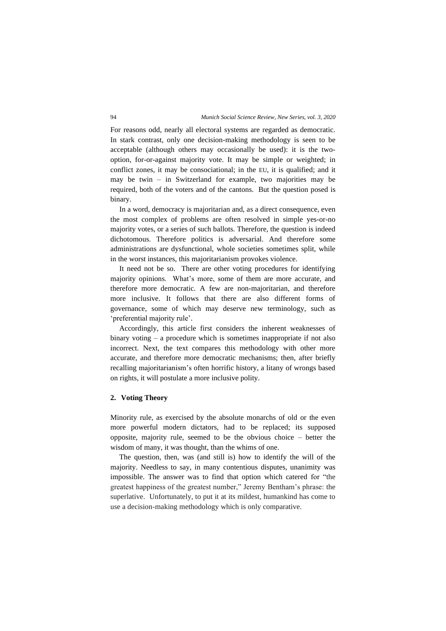For reasons odd, nearly all electoral systems are regarded as democratic. In stark contrast, only one decision-making methodology is seen to be acceptable (although others may occasionally be used): it is the twooption, for-or-against majority vote. It may be simple or weighted; in conflict zones, it may be consociational; in the EU, it is qualified; and it may be twin – in Switzerland for example, two majorities may be required, both of the voters and of the cantons. But the question posed is binary.

In a word, democracy is majoritarian and, as a direct consequence, even the most complex of problems are often resolved in simple yes-or-no majority votes, or a series of such ballots. Therefore, the question is indeed dichotomous. Therefore politics is adversarial. And therefore some administrations are dysfunctional, whole societies sometimes split, while in the worst instances, this majoritarianism provokes violence.

It need not be so. There are other voting procedures for identifying majority opinions. What's more, some of them are more accurate, and therefore more democratic. A few are non-majoritarian, and therefore more inclusive. It follows that there are also different forms of governance, some of which may deserve new terminology, such as 'preferential majority rule'.

Accordingly, this article first considers the inherent weaknesses of binary voting – a procedure which is sometimes inappropriate if not also incorrect. Next, the text compares this methodology with other more accurate, and therefore more democratic mechanisms; then, after briefly recalling majoritarianism's often horrific history, a litany of wrongs based on rights, it will postulate a more inclusive polity.

# **2. Voting Theory**

Minority rule, as exercised by the absolute monarchs of old or the even more powerful modern dictators, had to be replaced; its supposed opposite, majority rule, seemed to be the obvious choice – better the wisdom of many, it was thought, than the whims of one.

The question, then, was (and still is) how to identify the will of the majority. Needless to say, in many contentious disputes, unanimity was impossible. The answer was to find that option which catered for "the greatest happiness of the greatest number," Jeremy Bentham's phrase: the superlative. Unfortunately, to put it at its mildest, humankind has come to use a decision-making methodology which is only comparative.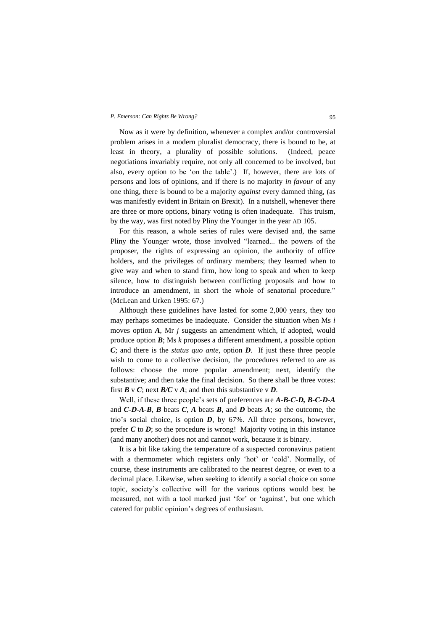Now as it were by definition, whenever a complex and/or controversial problem arises in a modern pluralist democracy, there is bound to be, at least in theory, a plurality of possible solutions. (Indeed, peace negotiations invariably require, not only all concerned to be involved, but also, every option to be 'on the table'.) If, however, there are lots of persons and lots of opinions, and if there is no majority *in favour* of any one thing, there is bound to be a majority *against* every damned thing, (as was manifestly evident in Britain on Brexit). In a nutshell, whenever there are three or more options, binary voting is often inadequate. This truism, by the way, was first noted by Pliny the Younger in the year AD 105.

For this reason, a whole series of rules were devised and, the same Pliny the Younger wrote, those involved "learned... the powers of the proposer, the rights of expressing an opinion, the authority of office holders, and the privileges of ordinary members; they learned when to give way and when to stand firm, how long to speak and when to keep silence, how to distinguish between conflicting proposals and how to introduce an amendment, in short the whole of senatorial procedure." (McLean and Urken 1995: 67.)

Although these guidelines have lasted for some 2,000 years, they too may perhaps sometimes be inadequate. Consider the situation when Ms *i* moves option *A*, Mr *j* suggests an amendment which, if adopted, would produce option *B*; Ms *k* proposes a different amendment, a possible option *C*; and there is the *status quo ante*, option *D*. If just these three people wish to come to a collective decision, the procedures referred to are as follows: choose the more popular amendment; next, identify the substantive; and then take the final decision. So there shall be three votes: first  $\mathbf{B} \vee \mathbf{C}$ ; next  $\mathbf{B}/\mathbf{C} \vee \mathbf{A}$ ; and then this substantive  $\vee \mathbf{D}$ .

Well, if these three people's sets of preferences are *A-B-C-D, B-C-D-A* and *C-D-A-B*, *B* beats *C*, *A* beats *B*, and *D* beats *A*; so the outcome, the trio's social choice, is option *D*, by 67%. All three persons, however, prefer  $C$  to  $D$ ; so the procedure is wrong! Majority voting in this instance (and many another) does not and cannot work, because it is binary.

It is a bit like taking the temperature of a suspected coronavirus patient with a thermometer which registers only 'hot' or 'cold'. Normally, of course, these instruments are calibrated to the nearest degree, or even to a decimal place. Likewise, when seeking to identify a social choice on some topic, society's collective will for the various options would best be measured, not with a tool marked just 'for' or 'against', but one which catered for public opinion's degrees of enthusiasm.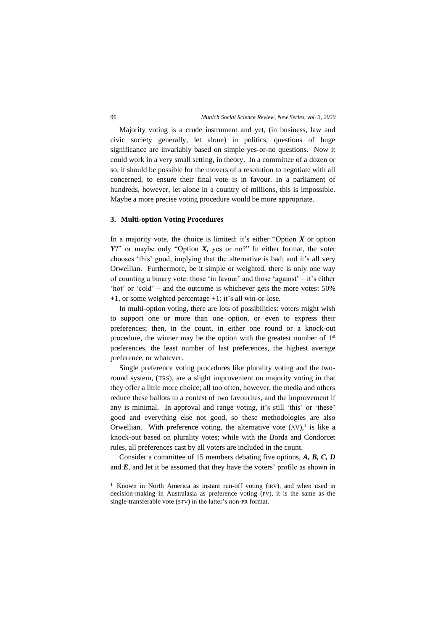Majority voting is a crude instrument and yet, (in business, law and civic society generally, let alone) in politics, questions of huge significance are invariably based on simple yes-or-no questions. Now it could work in a very small setting, in theory. In a committee of a dozen or so, it should be possible for the movers of a resolution to negotiate with all concerned, to ensure their final vote is in favour. In a parliament of hundreds, however, let alone in a country of millions, this is impossible. Maybe a more precise voting procedure would be more appropriate.

### **3. Multi-option Voting Procedures**

In a majority vote, the choice is limited: it's either "Option  $X$  or option *Y*?" or maybe only "Option *X*, yes or no?" In either format, the voter chooses 'this' good, implying that the alternative is bad; and it's all very Orwellian. Furthermore, be it simple or weighted, there is only one way of counting a binary vote: those 'in favour' and those 'against'  $-$  it's either 'hot' or 'cold' – and the outcome is whichever gets the more votes: 50% +1, or some weighted percentage +1; it's all win-or-lose.

In multi-option voting, there are lots of possibilities: voters might wish to support one or more than one option, or even to express their preferences; then, in the count, in either one round or a knock-out procedure, the winner may be the option with the greatest number of  $1<sup>st</sup>$ preferences, the least number of last preferences, the highest average preference, or whatever.

Single preference voting procedures like plurality voting and the tworound system, (TRS), are a slight improvement on majority voting in that they offer a little more choice; all too often, however, the media and others reduce these ballots to a contest of two favourites, and the improvement if any is minimal. In approval and range voting, it's still 'this' or 'these' good and everything else not good, so these methodologies are also Orwellian. With preference voting, the alternative vote  $(AV)$ , is like a knock-out based on plurality votes; while with the Borda and Condorcet rules, all preferences cast by all voters are included in the count.

Consider a committee of 15 members debating five options, *A, B, C, D*  and  $E$ , and let it be assumed that they have the voters' profile as shown in

<sup>&</sup>lt;sup>1</sup> Known in North America as instant run-off voting (IRV), and when used in decision-making in Australasia as preference voting (PV), it is the same as the single-transferable vote (STV) in the latter's non-PR format.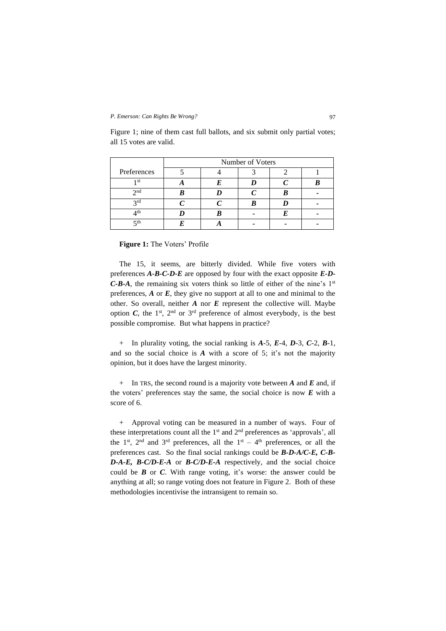|                 | Number of Voters |  |  |  |  |
|-----------------|------------------|--|--|--|--|
| Preferences     |                  |  |  |  |  |
| 1 <sub>st</sub> |                  |  |  |  |  |
| $\gamma$ nd     |                  |  |  |  |  |
| 2rd             |                  |  |  |  |  |
| ⊿th             |                  |  |  |  |  |
| ςth             |                  |  |  |  |  |

Figure 1; nine of them cast full ballots, and six submit only partial votes; all 15 votes are valid.

**Figure 1:** The Voters' Profile

The 15, it seems, are bitterly divided. While five voters with preferences *A-B-C-D-E* are opposed by four with the exact opposite *E-D-C-B-A*, the remaining six voters think so little of either of the nine's 1<sup>st</sup> preferences, *A* or *E*, they give no support at all to one and minimal to the other. So overall, neither  $A$  nor  $E$  represent the collective will. Maybe option  $C$ , the 1<sup>st</sup>, 2<sup>nd</sup> or 3<sup>rd</sup> preference of almost everybody, is the best possible compromise. But what happens in practice?

+ In plurality voting, the social ranking is *A*-5, *E*-4, *D*-3, *C*-2, *B*-1, and so the social choice is *A* with a score of 5; it's not the majority opinion, but it does have the largest minority.

+ In TRS, the second round is a majority vote between *A* and *E* and, if the voters' preferences stay the same, the social choice is now *E* with a score of 6.

+ Approval voting can be measured in a number of ways. Four of these interpretations count all the  $1<sup>st</sup>$  and  $2<sup>nd</sup>$  preferences as 'approvals', all the 1<sup>st</sup>, 2<sup>nd</sup> and 3<sup>rd</sup> preferences, all the 1<sup>st</sup> – 4<sup>th</sup> preferences, or all the preferences cast. So the final social rankings could be *B-D-A/C-E, C-B-D-A-E, B-C/D-E-A* or *B-C/D-E-A* respectively, and the social choice could be *B* or *C*. With range voting, it's worse: the answer could be anything at all; so range voting does not feature in Figure 2. Both of these methodologies incentivise the intransigent to remain so.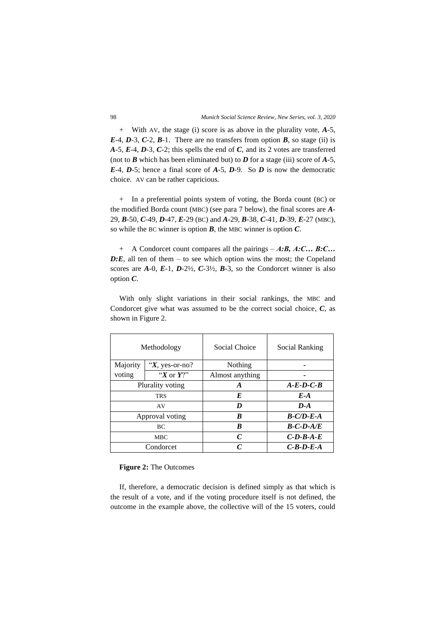+ With AV, the stage (i) score is as above in the plurality vote, *A*-5,  $E-4$ ,  $D-3$ ,  $C-2$ ,  $B-1$ . There are no transfers from option  $B$ , so stage (ii) is *A*-5, *E*-4, *D*-3, *C*-2; this spells the end of *C*, and its 2 votes are transferred (not to  $\vec{B}$  which has been eliminated but) to  $\vec{D}$  for a stage (iii) score of  $\vec{A}$ -5, *E*-4, *D*-5; hence a final score of *A*-5, *D*-9. So *D* is now the democratic choice. AV can be rather capricious.

+ In a preferential points system of voting, the Borda count (BC) or the modified Borda count (MBC) (see para 7 below), the final scores are *A*-29, *B*-50, *C*-49, *D*-47, *E*-29 (BC) and *A*-29, *B*-38, *C*-41, *D*-39, *E*-27 (MBC), so while the BC winner is option *B*, the MBC winner is option *C*.

+ A Condorcet count compares all the pairings – *A:B, A:C… B:C… D:E*, all ten of them – to see which option wins the most; the Copeland scores are  $A-0$ ,  $E-1$ ,  $D-2\frac{1}{2}$ ,  $C-3\frac{1}{2}$ ,  $B-3$ , so the Condorcet winner is also option *C*.

With only slight variations in their social rankings, the MBC and Condorcet give what was assumed to be the correct social choice, *C*, as shown in Figure 2.

| Methodology      |                    | Social Choice   | Social Ranking |
|------------------|--------------------|-----------------|----------------|
| Majority         | " $X$ , yes-or-no? | Nothing         |                |
| voting           | "X or $Y$ ?"       | Almost anything |                |
| Plurality voting |                    | A               | $A-E-D-C-B$    |
| <b>TRS</b>       |                    | E               | $E-A$          |
| AV               |                    | D               | $D-A$          |
| Approval voting  |                    | B               | $B-C/D-E-A$    |
| ВC               |                    | B               | $B-C-D-A/E$    |
| <b>MBC</b>       |                    | $\mathcal{C}$   | $C$ -D-B-A-E   |
| Condorcet        |                    | $\mathcal C$    | $C-R-D-E-A$    |

**Figure 2:** The Outcomes

If, therefore, a democratic decision is defined simply as that which is the result of a vote, and if the voting procedure itself is not defined, the outcome in the example above, the collective will of the 15 voters, could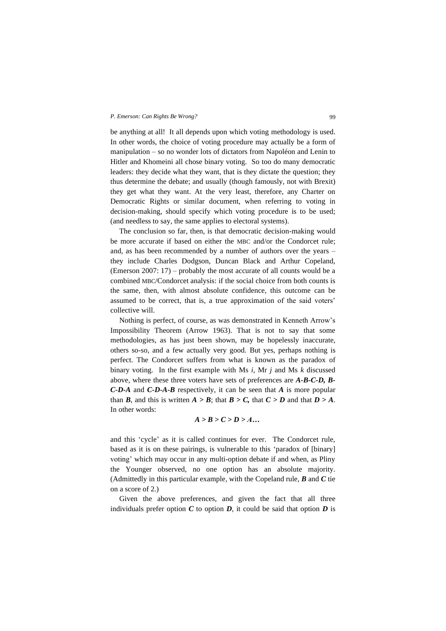be anything at all! It all depends upon which voting methodology is used. In other words, the choice of voting procedure may actually be a form of manipulation – so no wonder lots of dictators from Napoléon and Lenin to Hitler and Khomeini all chose binary voting. So too do many democratic leaders: they decide what they want, that is they dictate the question; they thus determine the debate; and usually (though famously, not with Brexit) they get what they want. At the very least, therefore, any Charter on Democratic Rights or similar document, when referring to voting in decision-making, should specify which voting procedure is to be used; (and needless to say, the same applies to electoral systems).

The conclusion so far, then, is that democratic decision-making would be more accurate if based on either the MBC and/or the Condorcet rule; and, as has been recommended by a number of authors over the years – they include Charles Dodgson, Duncan Black and Arthur Copeland, (Emerson 2007: 17) – probably the most accurate of all counts would be a combined MBC/Condorcet analysis: if the social choice from both counts is the same, then, with almost absolute confidence, this outcome can be assumed to be correct, that is, a true approximation of the said voters' collective will.

Nothing is perfect, of course, as was demonstrated in Kenneth Arrow's Impossibility Theorem (Arrow 1963). That is not to say that some methodologies, as has just been shown, may be hopelessly inaccurate, others so-so, and a few actually very good. But yes, perhaps nothing is perfect. The Condorcet suffers from what is known as the paradox of binary voting. In the first example with Ms *i,* Mr *j* and Ms *k* discussed above, where these three voters have sets of preferences are *A-B-C-D, B-C-D-A* and *C-D-A-B* respectively, it can be seen that *A* is more popular than *B*, and this is written  $A > B$ ; that  $B > C$ , that  $C > D$  and that  $D > A$ . In other words:

$$
A > B > C > D > A...
$$

and this 'cycle' as it is called continues for ever. The Condorcet rule, based as it is on these pairings, is vulnerable to this 'paradox of [binary] voting' which may occur in any multi-option debate if and when, as Pliny the Younger observed, no one option has an absolute majority. (Admittedly in this particular example, with the Copeland rule, *B* and *C* tie on a score of 2.)

Given the above preferences, and given the fact that all three individuals prefer option  $C$  to option  $D$ , it could be said that option  $D$  is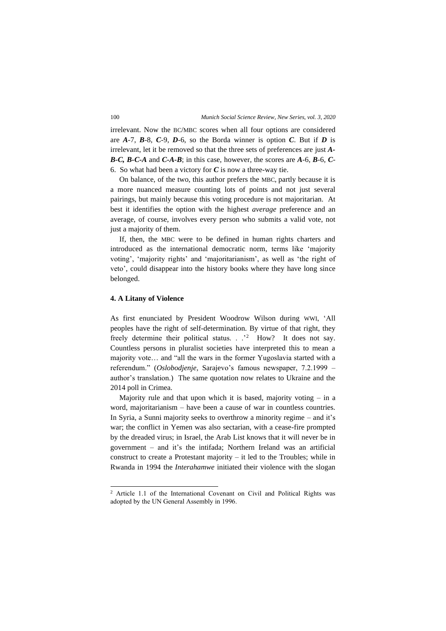irrelevant. Now the BC/MBC scores when all four options are considered are *A*-7, *B*-8, *C*-9, *D*-6, so the Borda winner is option *C*. But if *D* is irrelevant, let it be removed so that the three sets of preferences are just *A-B-C, B-C-A* and *C-A-B*; in this case, however, the scores are *A*-6, *B*-6, *C*-6. So what had been a victory for *C* is now a three-way tie.

On balance, of the two, this author prefers the MBC, partly because it is a more nuanced measure counting lots of points and not just several pairings, but mainly because this voting procedure is not majoritarian. At best it identifies the option with the highest *average* preference and an average, of course, involves every person who submits a valid vote, not just a majority of them.

If, then, the MBC were to be defined in human rights charters and introduced as the international democratic norm, terms like 'majority voting', 'majority rights' and 'majoritarianism', as well as 'the right of veto', could disappear into the history books where they have long since belonged.

### **4. A Litany of Violence**

As first enunciated by President Woodrow Wilson during WWI, 'All peoples have the right of self-determination. By virtue of that right, they freely determine their political status. . .'<sup>2</sup> How? It does not say. Countless persons in pluralist societies have interpreted this to mean a majority vote… and "all the wars in the former Yugoslavia started with a referendum." (*Oslobodjenje*, Sarajevo's famous newspaper, 7.2.1999 – author's translation.) The same quotation now relates to Ukraine and the 2014 poll in Crimea.

Majority rule and that upon which it is based, majority voting  $-$  in a word, majoritarianism – have been a cause of war in countless countries. In Syria, a Sunni majority seeks to overthrow a minority regime – and it's war; the conflict in Yemen was also sectarian, with a cease-fire prompted by the dreaded virus; in Israel, the Arab List knows that it will never be in government – and it's the intifada; Northern Ireland was an artificial construct to create a Protestant majority – it led to the Troubles; while in Rwanda in 1994 the *Interahamwe* initiated their violence with the slogan

<sup>2</sup> Article 1.1 of the International Covenant on Civil and Political Rights was adopted by the UN General Assembly in 1996.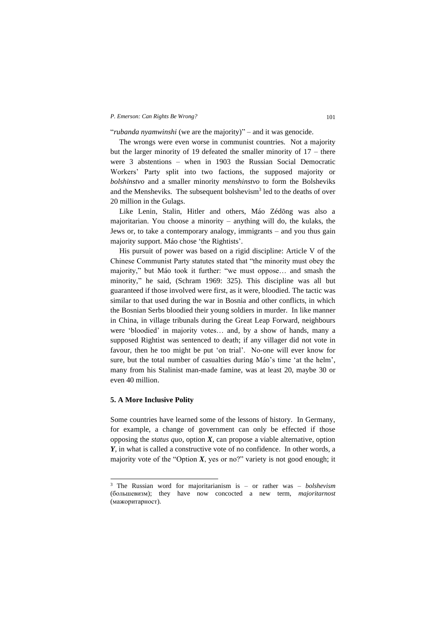"*rubanda nyamwinshi* (we are the majority)" – and it was genocide.

The wrongs were even worse in communist countries. Not a majority but the larger minority of 19 defeated the smaller minority of 17 – there were 3 abstentions – when in 1903 the Russian Social Democratic Workers' Party split into two factions, the supposed majority or *bolshinstvo* and a smaller minority *menshinstvo* to form the Bolsheviks and the Mensheviks. The subsequent bolshevism<sup>3</sup> led to the deaths of over 20 million in the Gulags.

Like Lenin, Stalin, Hitler and others, Máo Zédōng was also a majoritarian. You choose a minority – anything will do, the kulaks, the Jews or, to take a contemporary analogy, immigrants – and you thus gain majority support. Máo chose 'the Rightists'.

His pursuit of power was based on a rigid discipline: Article V of the Chinese Communist Party statutes stated that "the minority must obey the majority," but Máo took it further: "we must oppose… and smash the minority," he said, (Schram 1969: 325). This discipline was all but guaranteed if those involved were first, as it were, bloodied. The tactic was similar to that used during the war in Bosnia and other conflicts, in which the Bosnian Serbs bloodied their young soldiers in murder. In like manner in China, in village tribunals during the Great Leap Forward, neighbours were 'bloodied' in majority votes… and, by a show of hands, many a supposed Rightist was sentenced to death; if any villager did not vote in favour, then he too might be put 'on trial'. No-one will ever know for sure, but the total number of casualties during Máo's time 'at the helm', many from his Stalinist man-made famine, was at least 20, maybe 30 or even 40 million.

# **5. A More Inclusive Polity**

Some countries have learned some of the lessons of history. In Germany, for example, a change of government can only be effected if those opposing the *status quo*, option  $X$ , can propose a viable alternative, option *Y*, in what is called a constructive vote of no confidence. In other words, a majority vote of the "Option  $X$ , yes or no?" variety is not good enough; it

<sup>3</sup> The Russian word for majoritarianism is – or rather was – *bolshevism* (большевизм); they have now concocted a new term, *majoritarnost*  (мажоритарност).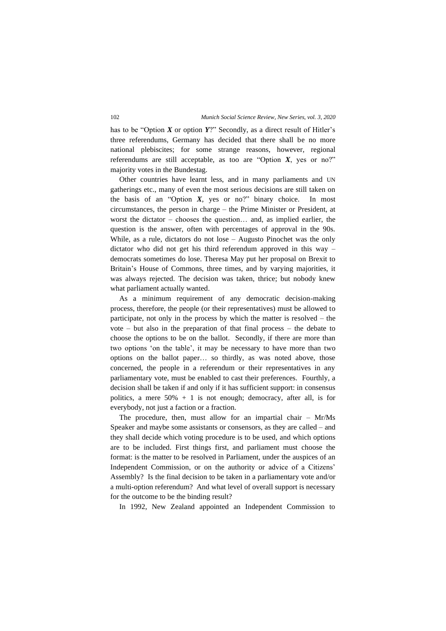has to be "Option *X* or option *Y*?" Secondly, as a direct result of Hitler's three referendums, Germany has decided that there shall be no more national plebiscites; for some strange reasons, however, regional referendums are still acceptable, as too are "Option *X*, yes or no?" majority votes in the Bundestag.

Other countries have learnt less, and in many parliaments and UN gatherings etc., many of even the most serious decisions are still taken on the basis of an "Option *X*, yes or no?" binary choice. In most circumstances, the person in charge – the Prime Minister or President, at worst the dictator – chooses the question… and, as implied earlier, the question is the answer, often with percentages of approval in the 90s. While, as a rule, dictators do not lose – Augusto Pinochet was the only dictator who did not get his third referendum approved in this way – democrats sometimes do lose. Theresa May put her proposal on Brexit to Britain's House of Commons, three times, and by varying majorities, it was always rejected. The decision was taken, thrice; but nobody knew what parliament actually wanted.

As a minimum requirement of any democratic decision-making process, therefore, the people (or their representatives) must be allowed to participate, not only in the process by which the matter is resolved – the vote – but also in the preparation of that final process – the debate to choose the options to be on the ballot. Secondly, if there are more than two options 'on the table', it may be necessary to have more than two options on the ballot paper… so thirdly, as was noted above, those concerned, the people in a referendum or their representatives in any parliamentary vote, must be enabled to cast their preferences. Fourthly, a decision shall be taken if and only if it has sufficient support: in consensus politics, a mere  $50\% + 1$  is not enough; democracy, after all, is for everybody, not just a faction or a fraction.

The procedure, then, must allow for an impartial chair – Mr/Ms Speaker and maybe some assistants or consensors, as they are called – and they shall decide which voting procedure is to be used, and which options are to be included. First things first, and parliament must choose the format: is the matter to be resolved in Parliament, under the auspices of an Independent Commission, or on the authority or advice of a Citizens' Assembly? Is the final decision to be taken in a parliamentary vote and/or a multi-option referendum? And what level of overall support is necessary for the outcome to be the binding result?

In 1992, New Zealand appointed an Independent Commission to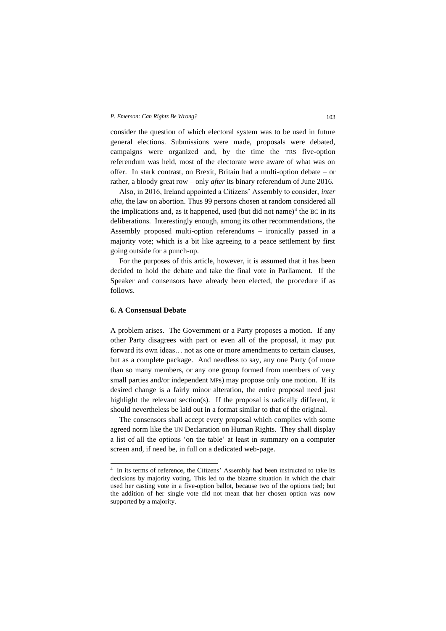consider the question of which electoral system was to be used in future general elections. Submissions were made, proposals were debated, campaigns were organized and, by the time the TRS five-option referendum was held, most of the electorate were aware of what was on offer. In stark contrast, on Brexit, Britain had a multi-option debate – or rather, a bloody great row – only *after* its binary referendum of June 2016.

Also, in 2016, Ireland appointed a Citizens' Assembly to consider, *inter alia,* the law on abortion. Thus 99 persons chosen at random considered all the implications and, as it happened, used (but did not name)<sup>4</sup> the BC in its deliberations. Interestingly enough, among its other recommendations, the Assembly proposed multi-option referendums – ironically passed in a majority vote; which is a bit like agreeing to a peace settlement by first going outside for a punch-up.

For the purposes of this article, however, it is assumed that it has been decided to hold the debate and take the final vote in Parliament. If the Speaker and consensors have already been elected, the procedure if as follows.

### **6. A Consensual Debate**

A problem arises. The Government or a Party proposes a motion. If any other Party disagrees with part or even all of the proposal, it may put forward its own ideas… not as one or more amendments to certain clauses, but as a complete package. And needless to say, any one Party (of more than so many members, or any one group formed from members of very small parties and/or independent MPs) may propose only one motion. If its desired change is a fairly minor alteration, the entire proposal need just highlight the relevant section(s). If the proposal is radically different, it should nevertheless be laid out in a format similar to that of the original.

The consensors shall accept every proposal which complies with some agreed norm like the UN Declaration on Human Rights. They shall display a list of all the options 'on the table' at least in summary on a computer screen and, if need be, in full on a dedicated web-page.

<sup>4</sup> In its terms of reference, the Citizens' Assembly had been instructed to take its decisions by majority voting. This led to the bizarre situation in which the chair used her casting vote in a five-option ballot, because two of the options tied; but the addition of her single vote did not mean that her chosen option was now supported by a majority.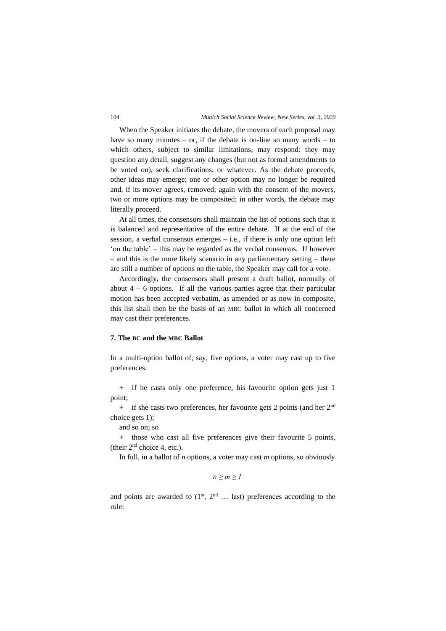### 104 *Munich Social Science Review, New Series, vol. 3, 2020*

When the Speaker initiates the debate, the movers of each proposal may have so many minutes – or, if the debate is on-line so many words – to which others, subject to similar limitations, may respond: they may question any detail, suggest any changes (but not as formal amendments to be voted on), seek clarifications, or whatever. As the debate proceeds, other ideas may emerge; one or other option may no longer be required and, if its mover agrees, removed; again with the consent of the movers, two or more options may be composited; in other words, the debate may literally proceed.

At all times, the consensors shall maintain the list of options such that it is balanced and representative of the entire debate. If at the end of the session, a verbal consensus emerges  $-$  i.e., if there is only one option left 'on the table' – this may be regarded as the verbal consensus. If however – and this is the more likely scenario in any parliamentary setting – there are still a number of options on the table, the Speaker may call for a vote.

Accordingly, the consensors shall present a draft ballot, normally of about  $4 - 6$  options. If all the various parties agree that their particular motion has been accepted verbatim, as amended or as now in composite, this list shall then be the basis of an MBC ballot in which all concerned may cast their preferences.

### **7. The BC and the MBC Ballot**

In a multi-option ballot of, say, five options, a voter may cast up to five preferences.

+ If he casts only one preference, his favourite option gets just 1 point;

 $+$  if she casts two preferences, her favourite gets 2 points (and her  $2<sup>nd</sup>$ choice gets 1);

and so on; so

+ those who cast all five preferences give their favourite 5 points, (their 2nd choice 4, etc.).

In full, in a ballot of *n* options, a voter may cast *m* options, so obviously

$$
n \geq m \geq l
$$

and points are awarded to  $(1^{st}, 2^{nd} ...)$  last) preferences according to the rule: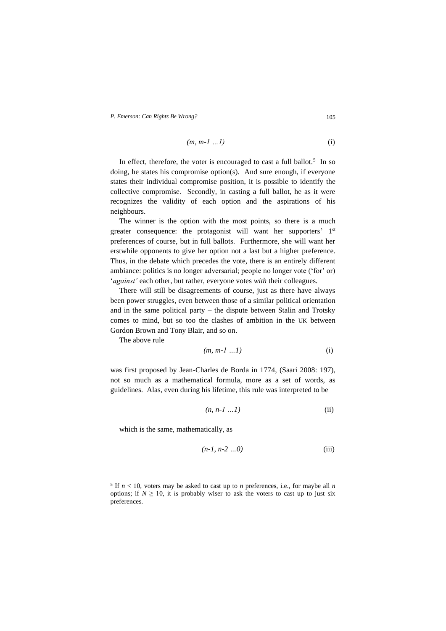$$
(m, m-1 \ldots l) \tag{i}
$$

In effect, therefore, the voter is encouraged to cast a full ballot.<sup>5</sup> In so doing, he states his compromise option(s). And sure enough, if everyone states their individual compromise position, it is possible to identify the collective compromise. Secondly, in casting a full ballot, he as it were recognizes the validity of each option and the aspirations of his neighbours.

The winner is the option with the most points, so there is a much greater consequence: the protagonist will want her supporters' 1st preferences of course, but in full ballots. Furthermore, she will want her erstwhile opponents to give her option not a last but a higher preference. Thus, in the debate which precedes the vote, there is an entirely different ambiance: politics is no longer adversarial; people no longer vote ('for' or) '*against'* each other, but rather, everyone votes *with* their colleagues.

There will still be disagreements of course, just as there have always been power struggles, even between those of a similar political orientation and in the same political party – the dispute between Stalin and Trotsky comes to mind, but so too the clashes of ambition in the UK between Gordon Brown and Tony Blair, and so on.

The above rule

$$
(m, m-1 \ldots l) \tag{i}
$$

was first proposed by Jean-Charles de Borda in 1774, (Saari 2008: 197), not so much as a mathematical formula, more as a set of words, as guidelines. Alas, even during his lifetime, this rule was interpreted to be

$$
(n, n-l \dots l) \tag{ii}
$$

which is the same, mathematically, as

$$
(n-1, n-2 \ldots 0) \tag{iii}
$$

<sup>&</sup>lt;sup>5</sup> If  $n < 10$ , voters may be asked to cast up to *n* preferences, i.e., for maybe all *n* options; if  $N \geq 10$ , it is probably wiser to ask the voters to cast up to just six preferences.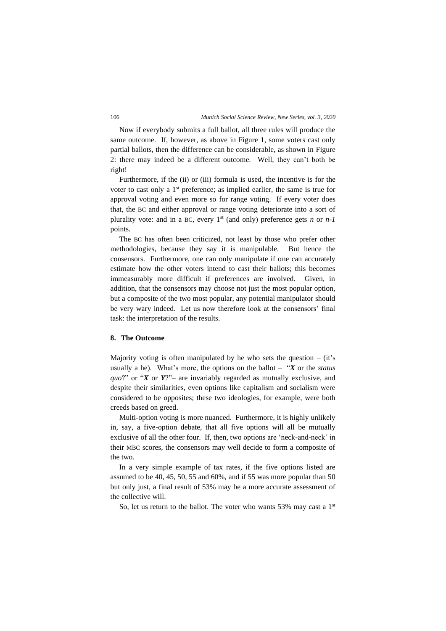Now if everybody submits a full ballot, all three rules will produce the same outcome. If, however, as above in Figure 1, some voters cast only partial ballots, then the difference can be considerable, as shown in Figure 2: there may indeed be a different outcome. Well, they can't both be right!

Furthermore, if the (ii) or (iii) formula is used, the incentive is for the voter to cast only a 1<sup>st</sup> preference; as implied earlier, the same is true for approval voting and even more so for range voting. If every voter does that, the BC and either approval or range voting deteriorate into a sort of plurality vote: and in a BC, every  $1^{st}$  (and only) preference gets *n* or  $n-1$ points.

The BC has often been criticized, not least by those who prefer other methodologies, because they say it is manipulable. But hence the consensors. Furthermore, one can only manipulate if one can accurately estimate how the other voters intend to cast their ballots; this becomes immeasurably more difficult if preferences are involved. Given, in addition, that the consensors may choose not just the most popular option, but a composite of the two most popular, any potential manipulator should be very wary indeed. Let us now therefore look at the consensors' final task: the interpretation of the results.

### **8. The Outcome**

Majority voting is often manipulated by he who sets the question  $-$  (it's usually a he). What's more, the options on the ballot – "*X* or the *status quo*?" or "*X* or *Y*?"– are invariably regarded as mutually exclusive, and despite their similarities, even options like capitalism and socialism were considered to be opposites; these two ideologies, for example, were both creeds based on greed.

Multi-option voting is more nuanced. Furthermore, it is highly unlikely in, say, a five-option debate, that all five options will all be mutually exclusive of all the other four. If, then, two options are 'neck-and-neck' in their MBC scores, the consensors may well decide to form a composite of the two.

In a very simple example of tax rates, if the five options listed are assumed to be 40, 45, 50, 55 and 60%, and if 55 was more popular than 50 but only just, a final result of 53% may be a more accurate assessment of the collective will.

So, let us return to the ballot. The voter who wants 53% may cast a  $1<sup>st</sup>$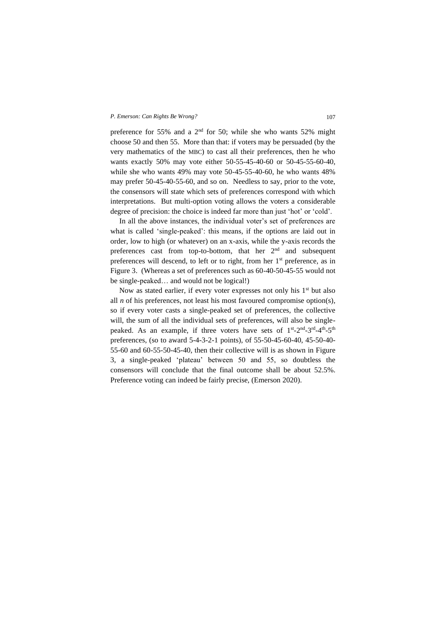preference for 55% and a  $2<sup>nd</sup>$  for 50; while she who wants 52% might choose 50 and then 55. More than that: if voters may be persuaded (by the very mathematics of the MBC) to cast all their preferences, then he who wants exactly 50% may vote either 50-55-45-40-60 or 50-45-55-60-40, while she who wants 49% may vote 50-45-55-40-60, he who wants 48% may prefer 50-45-40-55-60, and so on. Needless to say, prior to the vote, the consensors will state which sets of preferences correspond with which interpretations. But multi-option voting allows the voters a considerable degree of precision: the choice is indeed far more than just 'hot' or 'cold'.

In all the above instances, the individual voter's set of preferences are what is called 'single-peaked': this means, if the options are laid out in order, low to high (or whatever) on an x-axis, while the y-axis records the preferences cast from top-to-bottom, that her  $2<sup>nd</sup>$  and subsequent preferences will descend, to left or to right, from her 1st preference, as in Figure 3. (Whereas a set of preferences such as 60-40-50-45-55 would not be single-peaked… and would not be logical!)

Now as stated earlier, if every voter expresses not only his 1<sup>st</sup> but also all *n* of his preferences, not least his most favoured compromise option(s), so if every voter casts a single-peaked set of preferences, the collective will, the sum of all the individual sets of preferences, will also be singlepeaked. As an example, if three voters have sets of 1<sup>st</sup>-2<sup>nd</sup>-3<sup>rd</sup>-4<sup>th</sup>-5<sup>th</sup> preferences, (so to award 5-4-3-2-1 points), of 55-50-45-60-40, 45-50-40- 55-60 and 60-55-50-45-40, then their collective will is as shown in Figure 3, a single-peaked 'plateau' between 50 and 55, so doubtless the consensors will conclude that the final outcome shall be about 52.5%. Preference voting can indeed be fairly precise, (Emerson 2020).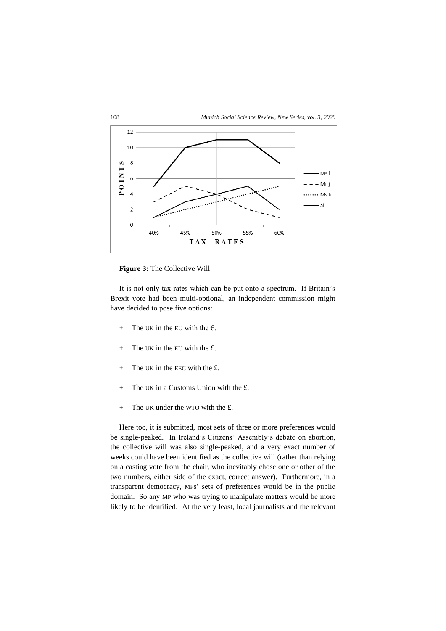

**Figure 3:** The Collective Will

It is not only tax rates which can be put onto a spectrum. If Britain's Brexit vote had been multi-optional, an independent commission might have decided to pose five options:

- + The UK in the EU with the  $\epsilon$ .
- $+$  The UK in the EU with the £.
- + The UK in the EEC with the £.
- + The UK in a Customs Union with the £.
- $+$  The UK under the WTO with the £.

Here too, it is submitted, most sets of three or more preferences would be single-peaked. In Ireland's Citizens' Assembly's debate on abortion, the collective will was also single-peaked, and a very exact number of weeks could have been identified as the collective will (rather than relying on a casting vote from the chair, who inevitably chose one or other of the two numbers, either side of the exact, correct answer). Furthermore, in a transparent democracy, MPs' sets of preferences would be in the public domain. So any MP who was trying to manipulate matters would be more likely to be identified. At the very least, local journalists and the relevant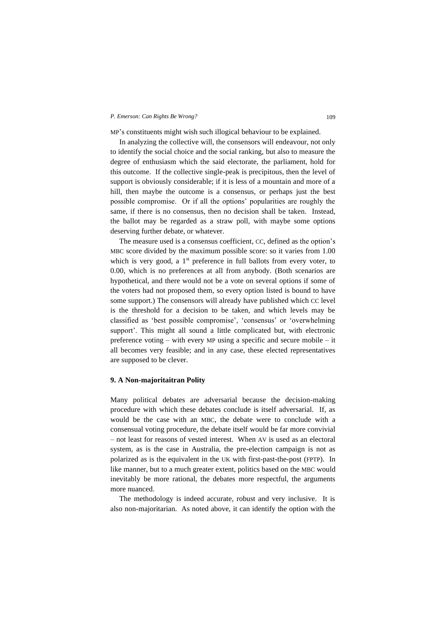MP's constituents might wish such illogical behaviour to be explained.

In analyzing the collective will, the consensors will endeavour, not only to identify the social choice and the social ranking, but also to measure the degree of enthusiasm which the said electorate, the parliament, hold for this outcome. If the collective single-peak is precipitous, then the level of support is obviously considerable; if it is less of a mountain and more of a hill, then maybe the outcome is a consensus, or perhaps just the best possible compromise. Or if all the options' popularities are roughly the same, if there is no consensus, then no decision shall be taken. Instead, the ballot may be regarded as a straw poll, with maybe some options deserving further debate, or whatever.

The measure used is a consensus coefficient, CC, defined as the option's MBC score divided by the maximum possible score: so it varies from 1.00 which is very good, a 1<sup>st</sup> preference in full ballots from every voter, to 0.00, which is no preferences at all from anybody. (Both scenarios are hypothetical, and there would not be a vote on several options if some of the voters had not proposed them, so every option listed is bound to have some support.) The consensors will already have published which CC level is the threshold for a decision to be taken, and which levels may be classified as 'best possible compromise', 'consensus' or 'overwhelming support'. This might all sound a little complicated but, with electronic preference voting – with every MP using a specific and secure mobile – it all becomes very feasible; and in any case, these elected representatives are supposed to be clever.

### **9. A Non-majoritaitran Polity**

Many political debates are adversarial because the decision-making procedure with which these debates conclude is itself adversarial. If, as would be the case with an MBC, the debate were to conclude with a consensual voting procedure, the debate itself would be far more convivial – not least for reasons of vested interest. When AV is used as an electoral system, as is the case in Australia, the pre-election campaign is not as polarized as is the equivalent in the UK with first-past-the-post (FPTP). In like manner, but to a much greater extent, politics based on the MBC would inevitably be more rational, the debates more respectful, the arguments more nuanced.

The methodology is indeed accurate, robust and very inclusive. It is also non-majoritarian. As noted above, it can identify the option with the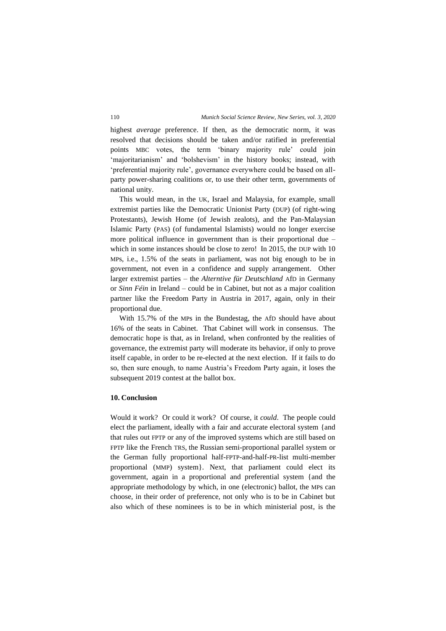highest *average* preference. If then, as the democratic norm, it was resolved that decisions should be taken and/or ratified in preferential points MBC votes, the term 'binary majority rule' could join 'majoritarianism' and 'bolshevism' in the history books; instead, with 'preferential majority rule', governance everywhere could be based on allparty power-sharing coalitions or, to use their other term, governments of national unity.

This would mean, in the UK, Israel and Malaysia, for example, small extremist parties like the Democratic Unionist Party (DUP) (of right-wing Protestants), Jewish Home (of Jewish zealots), and the Pan-Malaysian Islamic Party (PAS) (of fundamental Islamists) would no longer exercise more political influence in government than is their proportional due – which in some instances should be close to zero! In 2015, the DUP with 10 MPs, i.e., 1.5% of the seats in parliament, was not big enough to be in government, not even in a confidence and supply arrangement. Other larger extremist parties – the *Alterntive für Deutschland* AfD in Germany or *Sinn Féin* in Ireland – could be in Cabinet, but not as a major coalition partner like the Freedom Party in Austria in 2017, again, only in their proportional due.

With 15.7% of the MPs in the Bundestag, the AfD should have about 16% of the seats in Cabinet. That Cabinet will work in consensus. The democratic hope is that, as in Ireland, when confronted by the realities of governance, the extremist party will moderate its behavior, if only to prove itself capable, in order to be re-elected at the next election. If it fails to do so, then sure enough, to name Austria's Freedom Party again, it loses the subsequent 2019 contest at the ballot box.

# **10. Conclusion**

Would it work? Or could it work? Of course, it *could*. The people could elect the parliament, ideally with a fair and accurate electoral system {and that rules out FPTP or any of the improved systems which are still based on FPTP like the French TRS, the Russian semi-proportional parallel system or the German fully proportional half-FPTP-and-half-PR-list multi-member proportional (MMP) system}. Next, that parliament could elect its government, again in a proportional and preferential system {and the appropriate methodology by which, in one (electronic) ballot, the MPs can choose, in their order of preference, not only who is to be in Cabinet but also which of these nominees is to be in which ministerial post, is the